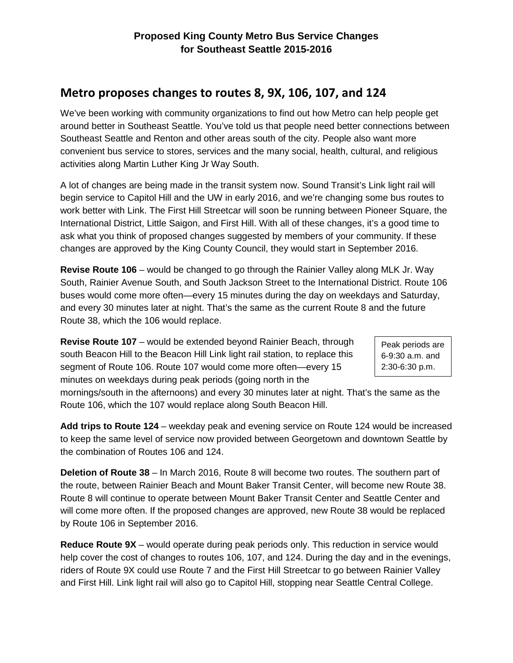## **Metro proposes changes to routes 8, 9X, 106, 107, and 124**

We've been working with community organizations to find out how Metro can help people get around better in Southeast Seattle. You've told us that people need better connections between Southeast Seattle and Renton and other areas south of the city. People also want more convenient bus service to stores, services and the many social, health, cultural, and religious activities along Martin Luther King Jr Way South.

A lot of changes are being made in the transit system now. Sound Transit's Link light rail will begin service to Capitol Hill and the UW in early 2016, and we're changing some bus routes to work better with Link. The First Hill Streetcar will soon be running between Pioneer Square, the International District, Little Saigon, and First Hill. With all of these changes, it's a good time to ask what you think of proposed changes suggested by members of your community. If these changes are approved by the King County Council, they would start in September 2016.

**Revise Route 106** – would be changed to go through the Rainier Valley along MLK Jr. Way South, Rainier Avenue South, and South Jackson Street to the International District. Route 106 buses would come more often—every 15 minutes during the day on weekdays and Saturday, and every 30 minutes later at night. That's the same as the current Route 8 and the future Route 38, which the 106 would replace.

**Revise Route 107** – would be extended beyond Rainier Beach, through south Beacon Hill to the Beacon Hill Link light rail station, to replace this segment of Route 106. Route 107 would come more often—every 15 minutes on weekdays during peak periods (going north in the

Peak periods are 6-9:30 a.m. and 2:30-6:30 p.m.

mornings/south in the afternoons) and every 30 minutes later at night. That's the same as the Route 106, which the 107 would replace along South Beacon Hill.

**Add trips to Route 124** – weekday peak and evening service on Route 124 would be increased to keep the same level of service now provided between Georgetown and downtown Seattle by the combination of Routes 106 and 124.

**Deletion of Route 38** – In March 2016, Route 8 will become two routes. The southern part of the route, between Rainier Beach and Mount Baker Transit Center, will become new Route 38. Route 8 will continue to operate between Mount Baker Transit Center and Seattle Center and will come more often. If the proposed changes are approved, new Route 38 would be replaced by Route 106 in September 2016.

**Reduce Route 9X** – would operate during peak periods only. This reduction in service would help cover the cost of changes to routes 106, 107, and 124. During the day and in the evenings, riders of Route 9X could use Route 7 and the First Hill Streetcar to go between Rainier Valley and First Hill. Link light rail will also go to Capitol Hill, stopping near Seattle Central College.